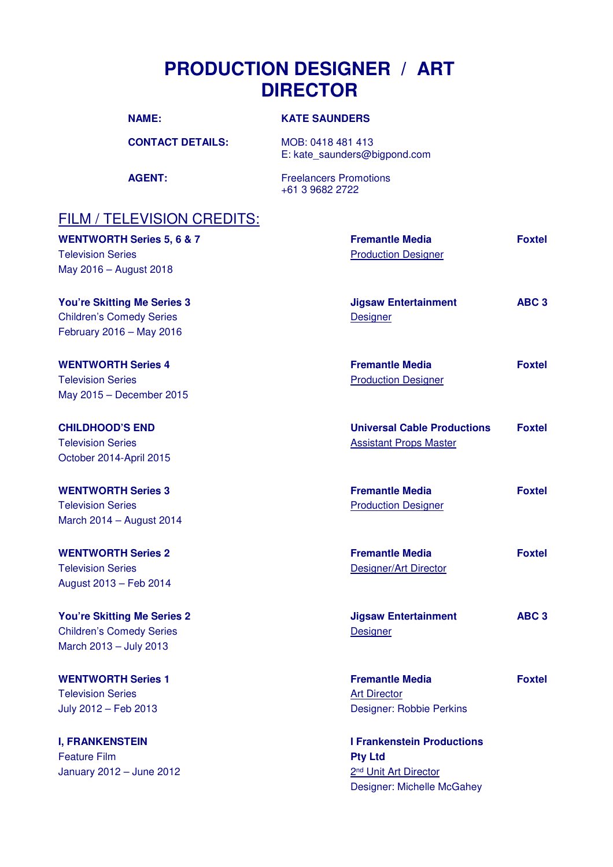## **PRODUCTION DESIGNER / ART DIRECTOR**

| <b>NAME:</b> | <b>KATE SAUNDERS</b> |
|--------------|----------------------|
|              |                      |

**CONTACT DETAILS:** MOB: 0418 481 413 E: kate\_saunders@bigpond.com

AGENT: Freelancers Promotions +61 3 9682 2722

## FILM / TELEVISION CREDITS:

| <b>WENTWORTH Series 5, 6 &amp; 7</b><br><b>Television Series</b><br>May 2016 - August 2018        | <b>Fremantle Media</b><br><b>Production Designer</b>                                                                   | <b>Foxtel</b>    |
|---------------------------------------------------------------------------------------------------|------------------------------------------------------------------------------------------------------------------------|------------------|
| <b>You're Skitting Me Series 3</b><br><b>Children's Comedy Series</b><br>February 2016 - May 2016 | <b>Jigsaw Entertainment</b><br><b>Designer</b>                                                                         | ABC <sub>3</sub> |
| <b>WENTWORTH Series 4</b><br><b>Television Series</b><br>May 2015 - December 2015                 | <b>Fremantle Media</b><br><b>Production Designer</b>                                                                   | <b>Foxtel</b>    |
| <b>CHILDHOOD'S END</b><br><b>Television Series</b><br>October 2014-April 2015                     | <b>Universal Cable Productions</b><br><b>Assistant Props Master</b>                                                    | <b>Foxtel</b>    |
| <b>WENTWORTH Series 3</b><br><b>Television Series</b><br>March 2014 - August 2014                 | <b>Fremantle Media</b><br><b>Production Designer</b>                                                                   | <b>Foxtel</b>    |
| <b>WENTWORTH Series 2</b><br><b>Television Series</b><br>August 2013 - Feb 2014                   | <b>Fremantle Media</b><br>Designer/Art Director                                                                        | <b>Foxtel</b>    |
| <b>You're Skitting Me Series 2</b><br><b>Children's Comedy Series</b><br>March 2013 - July 2013   | <b>Jigsaw Entertainment</b><br><b>Designer</b>                                                                         | ABC <sub>3</sub> |
| <b>WENTWORTH Series 1</b><br><b>Television Series</b><br>July 2012 - Feb 2013                     | <b>Fremantle Media</b><br><b>Art Director</b><br>Designer: Robbie Perkins                                              | <b>Foxtel</b>    |
| <b>I, FRANKENSTEIN</b><br><b>Feature Film</b><br>January 2012 - June 2012                         | <b>I Frankenstein Productions</b><br><b>Pty Ltd</b><br>2 <sup>nd</sup> Unit Art Director<br>Designer: Michelle McGahey |                  |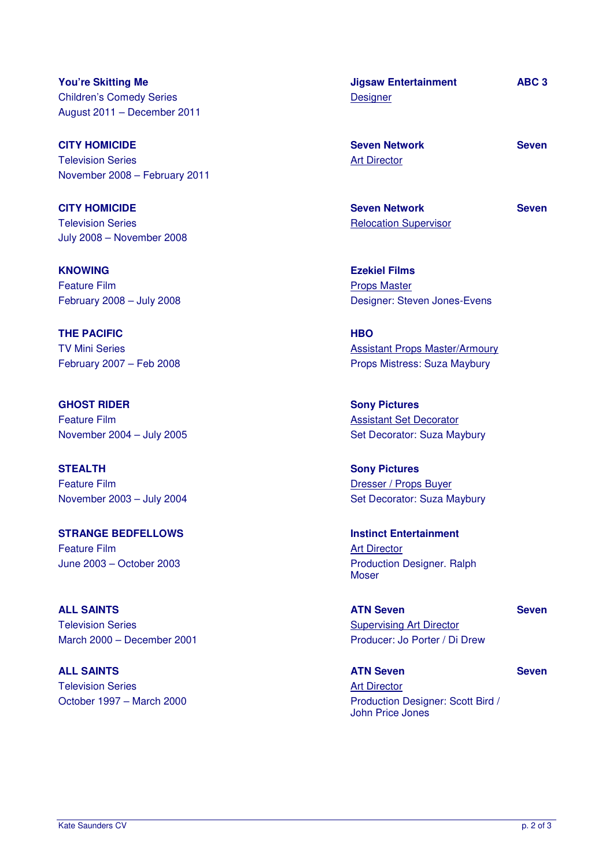**You're Skitting Me**  Children's Comedy Series August 2011 – December 2011

**CITY HOMICIDE**  Television Series November 2008 – February 2011

**CITY HOMICIDE**  Television Series July 2008 – November 2008

**KNOWING**  Feature Film February 2008 – July 2008

**THE PACIFIC**  TV Mini Series February 2007 – Feb 2008

**GHOST RIDER**  Feature Film November 2004 – July 2005

**STEALTH**  Feature Film November 2003 – July 2004

**STRANGE BEDFELLOWS**  Feature Film June 2003 – October 2003

**ALL SAINTS**  Television Series March 2000 – December 2001

**ALL SAINTS**  Television Series October 1997 – March 2000 **Jigsaw Entertainment Designer** 

**ABC 3** 

**Seven** 

**Seven Network**  Art Director

**Seven Network**  Relocation Supervisor **Seven** 

**Ezekiel Films**  Props Master Designer: Steven Jones-Evens

**HBO**  Assistant Props Master/Armoury Props Mistress: Suza Maybury

**Sony Pictures**  Assistant Set Decorator Set Decorator: Suza Maybury

**Sony Pictures**  Dresser / Props Buyer Set Decorator: Suza Maybury

**Instinct Entertainment**  Art Director Production Designer. Ralph Moser

**ATN Seven**  Supervising Art Director Producer: Jo Porter / Di Drew

**Seven** 

**Seven** 

**ATN Seven**  Art Director Production Designer: Scott Bird /

John Price Jones